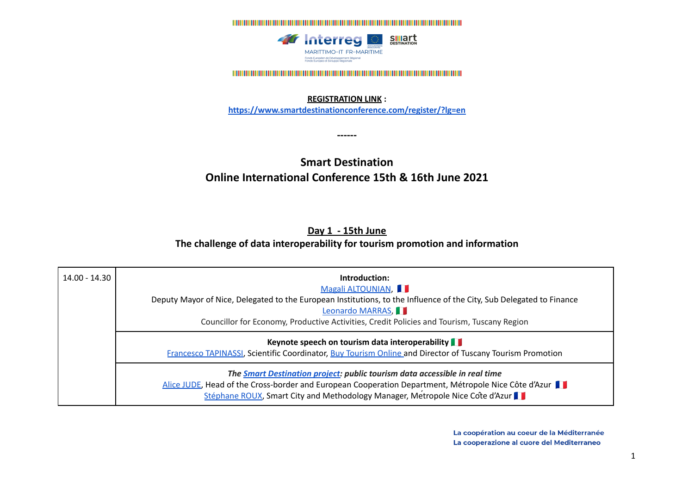

## **REGISTRATION LINK :**

**<https://www.smartdestinationconference.com/register/?lg=en>**

**------**

# **Smart Destination Online International Conference 15th & 16th June 2021**

# **Day 1 - 15th June The challenge of data interoperability for tourism promotion and information**

| $14.00 - 14.30$ | Introduction:<br>Magali ALTOUNIAN<br>Deputy Mayor of Nice, Delegated to the European Institutions, to the Influence of the City, Sub Delegated to Finance<br>Leonardo MARRAS,<br>Councillor for Economy, Productive Activities, Credit Policies and Tourism, Tuscany Region |
|-----------------|-----------------------------------------------------------------------------------------------------------------------------------------------------------------------------------------------------------------------------------------------------------------------------|
|                 | Keynote speech on tourism data interoperability<br><b>Francesco TAPINASSI, Scientific Coordinator, Buy Tourism Online and Director of Tuscany Tourism Promotion</b>                                                                                                         |
|                 | The <b>Smart Destination project:</b> public tourism data accessible in real time<br>Alice JUDE, Head of the Cross-border and European Cooperation Department, Métropole Nice Côte d'Azur<br>Stéphane ROUX, Smart City and Methodology Manager, Metropole Nice Cote d'Azur  |

La coopération au coeur de la Méditerranée La cooperazione al cuore del Mediterraneo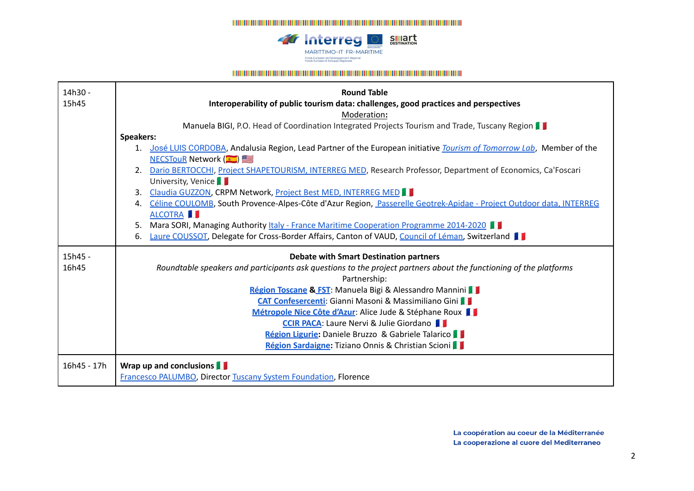

#### 

| 14h30 -     | <b>Round Table</b>                                                                                                        |
|-------------|---------------------------------------------------------------------------------------------------------------------------|
| 15h45       | Interoperability of public tourism data: challenges, good practices and perspectives                                      |
|             | Moderation:                                                                                                               |
|             | Manuela BIGI, P.O. Head of Coordination Integrated Projects Tourism and Trade, Tuscany Region                             |
|             | <b>Speakers:</b>                                                                                                          |
|             | José LUIS CORDOBA, Andalusia Region, Lead Partner of the European initiative Tourism of Tomorrow Lab, Member of the<br>1. |
|             | <b>NECSTOUR Network</b> (                                                                                                 |
|             | Dario BERTOCCHI, Project SHAPETOURISM, INTERREG MED, Research Professor, Department of Economics, Ca'Foscari<br>2.        |
|             | University, Venice                                                                                                        |
|             | Claudia GUZZON, CRPM Network, Project Best MED, INTERREG MED<br>3.                                                        |
|             | Céline COULOMB, South Provence-Alpes-Côte d'Azur Region, Passerelle Geotrek-Apidae - Project Outdoor data, INTERREG<br>4. |
|             | ALCOTRA I                                                                                                                 |
|             | Mara SORI, Managing Authority <i>Italy - France Maritime Cooperation Programme 2014-2020</i><br>5.                        |
|             | Laure COUSSOT, Delegate for Cross-Border Affairs, Canton of VAUD, Council of Léman, Switzerland<br>6.                     |
| 15h45 -     | <b>Debate with Smart Destination partners</b>                                                                             |
| 16h45       | Roundtable speakers and participants ask questions to the project partners about the functioning of the platforms         |
|             | Partnership:                                                                                                              |
|             | Région Toscane & FST: Manuela Bigi & Alessandro Mannini                                                                   |
|             | <b>CAT Confesercenti:</b> Gianni Masoni & Massimiliano Gini                                                               |
|             | Métropole Nice Côte d'Azur: Alice Jude & Stéphane Roux                                                                    |
|             | <b>CCIR PACA: Laure Nervi &amp; Julie Giordano</b>                                                                        |
|             | Région Ligurie: Daniele Bruzzo & Gabriele Talarico                                                                        |
|             | Région Sardaigne: Tiziano Onnis & Christian Scioni                                                                        |
|             |                                                                                                                           |
| 16h45 - 17h | Wrap up and conclusions                                                                                                   |
|             | <b>Francesco PALUMBO, Director Tuscany System Foundation, Florence</b>                                                    |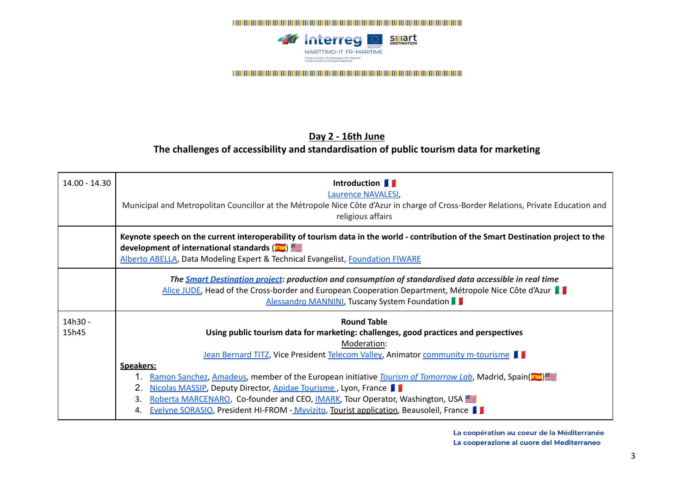

# **Day 2 - 16th June The challenges of accessibility and standardisation of public tourism data for marketing**

| 14.00 - 14.30    | Introduction <b>I</b><br><b>Laurence NAVALESI</b><br>Municipal and Metropolitan Councillor at the Métropole Nice Côte d'Azur in charge of Cross-Border Relations, Private Education and<br>religious affairs                                                                                                                                                                                                                                                                                                                                                                                                                                |
|------------------|---------------------------------------------------------------------------------------------------------------------------------------------------------------------------------------------------------------------------------------------------------------------------------------------------------------------------------------------------------------------------------------------------------------------------------------------------------------------------------------------------------------------------------------------------------------------------------------------------------------------------------------------|
|                  | Keynote speech on the current interoperability of tourism data in the world - contribution of the Smart Destination project to the<br>development of international standards $\left( \frac{1}{2} \right)$<br>Alberto ABELLA, Data Modeling Expert & Technical Evangelist, Foundation FIWARE                                                                                                                                                                                                                                                                                                                                                 |
|                  | The <b>Smart Destination project</b> : production and consumption of standardised data accessible in real time<br>Alice JUDE, Head of the Cross-border and European Cooperation Department, Métropole Nice Côte d'Azur<br>Alessandro MANNINI, Tuscany System Foundation                                                                                                                                                                                                                                                                                                                                                                     |
| 14h30 -<br>15h45 | <b>Round Table</b><br>Using public tourism data for marketing: challenges, good practices and perspectives<br>Moderation:<br><b>Jean Bernard TITZ, Vice President Telecom Valley, Animator community m-tourisme</b><br>Speakers:<br>Ramon Sanchez, Amadeus, member of the European initiative <i>Tourism of Tomorrow Lab</i> , Madrid, Spain( $\blacksquare$ )<br>2.<br>Nicolas MASSIP, Deputy Director, Apidae Tourisme, Lyon, France<br>3.<br>Roberta MARCENARO, Co-founder and CEO, <i>IMARK</i> , Tour Operator, Washington, USA<br><b>Evelyne SORASIO, President HI-FROM - Myvizito, Tourist application, Beausoleil, France</b><br>4. |

La coopération au coeur de la Méditerranée La cooperazione al cuore del Mediterraneo